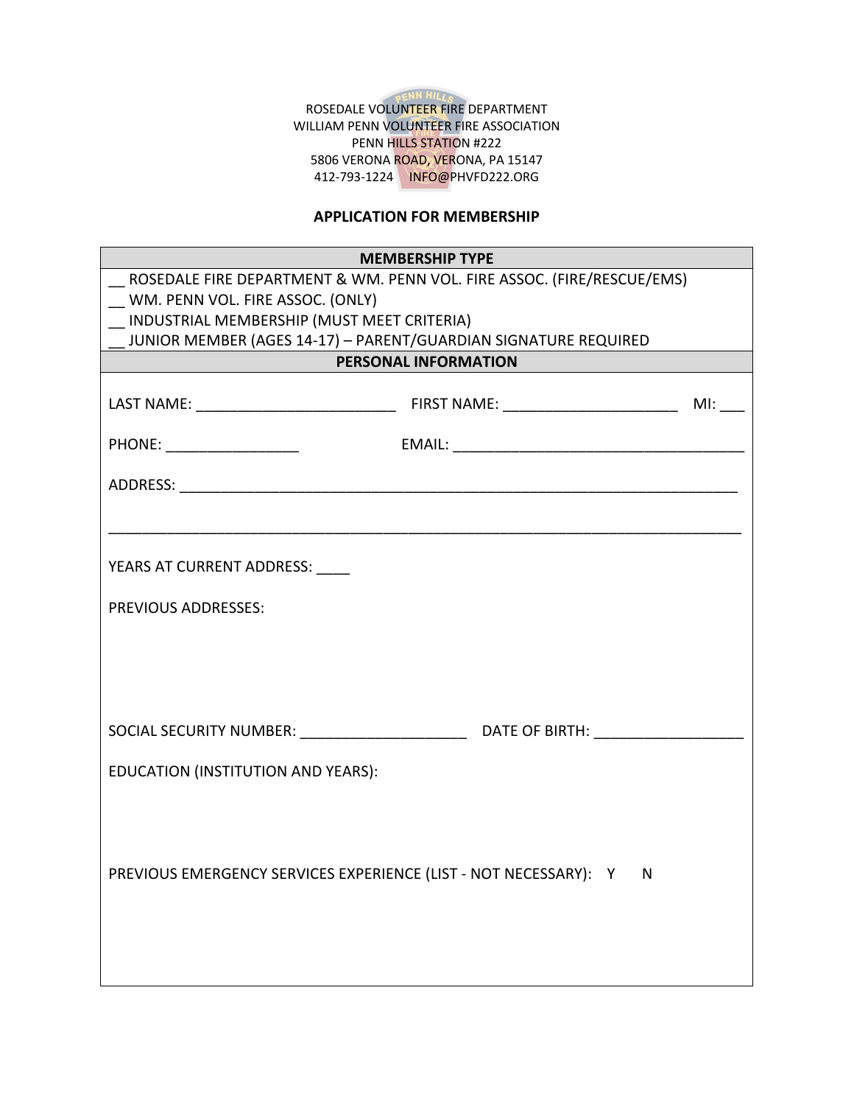

ROSEDALE VOLUNTEER FIRE DEPARTMENT WILLIAM PENN VOLUNTEER FIRE ASSOCIATION PENN HILLS STATION #222 5806 VERONA ROAD, VERONA, PA 15147 412-793-1224 INFO@PHVFD222.ORG

## **APPLICATION FOR MEMBERSHIP**

| <b>MEMBERSHIP TYPE</b>                                                 |  |  |
|------------------------------------------------------------------------|--|--|
| ROSEDALE FIRE DEPARTMENT & WM. PENN VOL. FIRE ASSOC. (FIRE/RESCUE/EMS) |  |  |
| WM. PENN VOL. FIRE ASSOC. (ONLY)                                       |  |  |
| INDUSTRIAL MEMBERSHIP (MUST MEET CRITERIA)                             |  |  |
| JUNIOR MEMBER (AGES 14-17) - PARENT/GUARDIAN SIGNATURE REQUIRED        |  |  |
| PERSONAL INFORMATION                                                   |  |  |
|                                                                        |  |  |
|                                                                        |  |  |
|                                                                        |  |  |
|                                                                        |  |  |
| YEARS AT CURRENT ADDRESS: ____                                         |  |  |
| <b>PREVIOUS ADDRESSES:</b>                                             |  |  |
|                                                                        |  |  |
|                                                                        |  |  |
|                                                                        |  |  |
| EDUCATION (INSTITUTION AND YEARS):                                     |  |  |
|                                                                        |  |  |
| PREVIOUS EMERGENCY SERVICES EXPERIENCE (LIST - NOT NECESSARY): Y N     |  |  |
|                                                                        |  |  |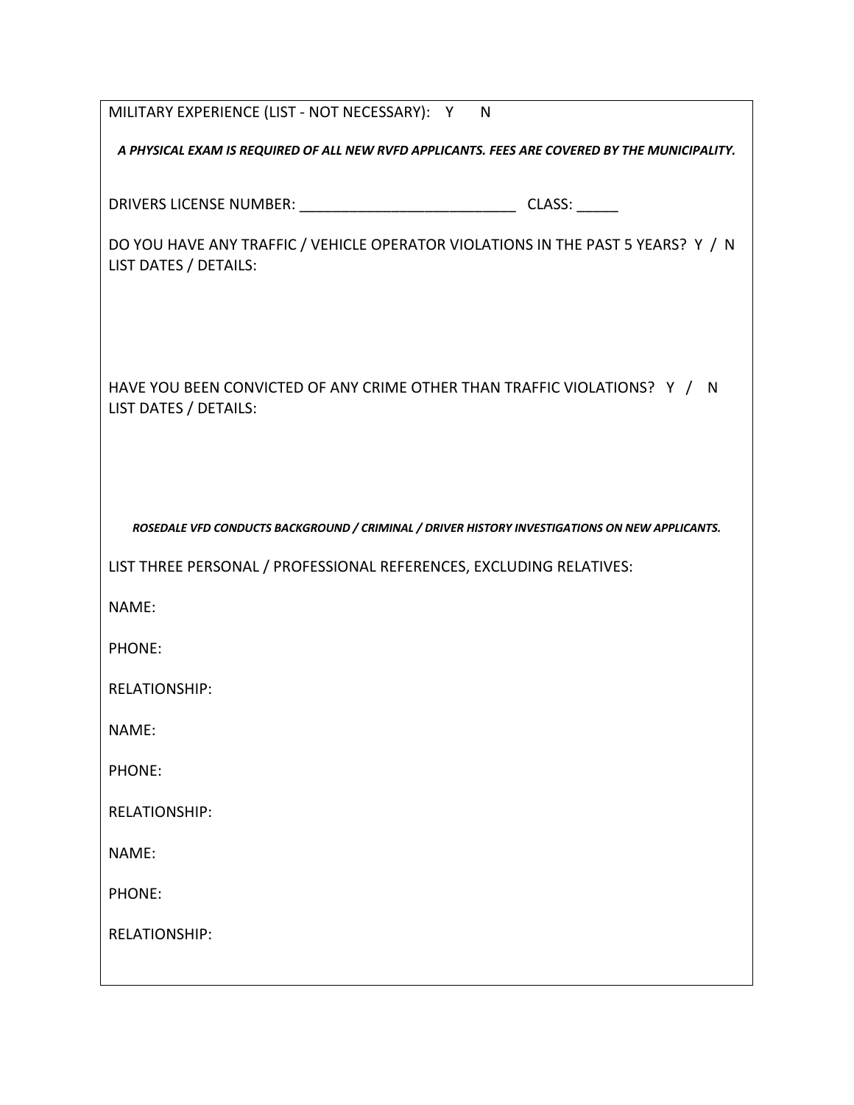| MILITARY EXPERIENCE (LIST - NOT NECESSARY): Y N                                                           |  |  |
|-----------------------------------------------------------------------------------------------------------|--|--|
| A PHYSICAL EXAM IS REQUIRED OF ALL NEW RVFD APPLICANTS. FEES ARE COVERED BY THE MUNICIPALITY.             |  |  |
|                                                                                                           |  |  |
| DO YOU HAVE ANY TRAFFIC / VEHICLE OPERATOR VIOLATIONS IN THE PAST 5 YEARS? Y / N<br>LIST DATES / DETAILS: |  |  |
|                                                                                                           |  |  |
| HAVE YOU BEEN CONVICTED OF ANY CRIME OTHER THAN TRAFFIC VIOLATIONS? Y / N<br>LIST DATES / DETAILS:        |  |  |
|                                                                                                           |  |  |
| ROSEDALE VFD CONDUCTS BACKGROUND / CRIMINAL / DRIVER HISTORY INVESTIGATIONS ON NEW APPLICANTS.            |  |  |
| LIST THREE PERSONAL / PROFESSIONAL REFERENCES, EXCLUDING RELATIVES:                                       |  |  |
| NAME:                                                                                                     |  |  |
| PHONE:                                                                                                    |  |  |
| <b>RELATIONSHIP:</b>                                                                                      |  |  |
| NAME:                                                                                                     |  |  |
| PHONE:                                                                                                    |  |  |
| <b>RELATIONSHIP:</b>                                                                                      |  |  |
| NAME:                                                                                                     |  |  |
| PHONE:                                                                                                    |  |  |
| <b>RELATIONSHIP:</b>                                                                                      |  |  |
|                                                                                                           |  |  |